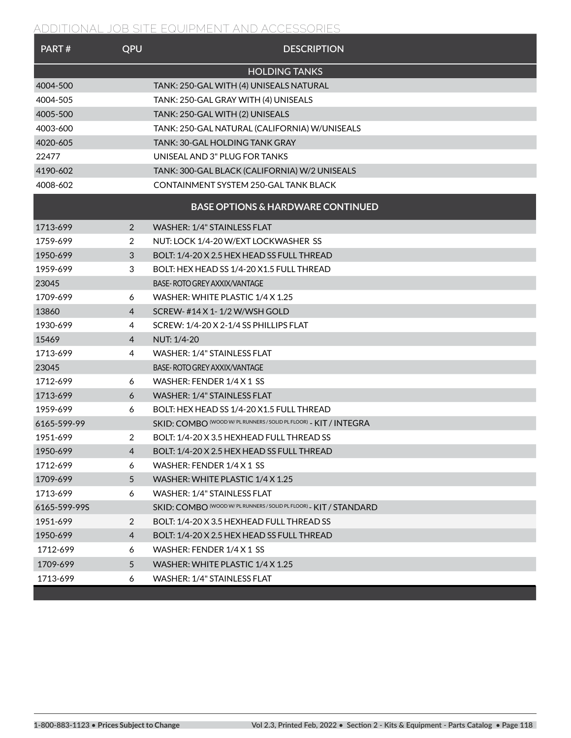| PART#        | QPU            | <b>DESCRIPTION</b>                                                |
|--------------|----------------|-------------------------------------------------------------------|
|              |                | <b>HOLDING TANKS</b>                                              |
| 4004-500     |                | TANK: 250-GAL WITH (4) UNISEALS NATURAL                           |
| 4004-505     |                | TANK: 250-GAL GRAY WITH (4) UNISEALS                              |
| 4005-500     |                | TANK: 250-GAL WITH (2) UNISEALS                                   |
| 4003-600     |                | TANK: 250-GAL NATURAL (CALIFORNIA) W/UNISEALS                     |
| 4020-605     |                | TANK: 30-GAL HOLDING TANK GRAY                                    |
| 22477        |                | UNISEAL AND 3" PLUG FOR TANKS                                     |
| 4190-602     |                | TANK: 300-GAL BLACK (CALIFORNIA) W/2 UNISEALS                     |
| 4008-602     |                | CONTAINMENT SYSTEM 250-GAL TANK BLACK                             |
|              |                | <b>BASE OPTIONS &amp; HARDWARE CONTINUED</b>                      |
| 1713-699     | 2              | <b>WASHER: 1/4" STAINLESS FLAT</b>                                |
| 1759-699     | 2              | NUT: LOCK 1/4-20 W/EXT LOCKWASHER SS                              |
| 1950-699     | 3              | BOLT: 1/4-20 X 2.5 HEX HEAD SS FULL THREAD                        |
| 1959-699     | 3              | BOLT: HEX HEAD SS 1/4-20 X1.5 FULL THREAD                         |
| 23045        |                | BASE-ROTO GREY AXXIX/VANTAGE                                      |
| 1709-699     | 6              | WASHER: WHITE PLASTIC 1/4 X 1.25                                  |
| 13860        | 4              | SCREW-#14 X 1-1/2 W/WSH GOLD                                      |
| 1930-699     | 4              | SCREW: 1/4-20 X 2-1/4 SS PHILLIPS FLAT                            |
| 15469        | 4              | NUT: 1/4-20                                                       |
| 1713-699     | 4              | WASHER: 1/4" STAINLESS FLAT                                       |
| 23045        |                | BASE-ROTO GREY AXXIX/VANTAGE                                      |
| 1712-699     | 6              | WASHER: FENDER 1/4 X 1 SS                                         |
| 1713-699     | 6              | WASHER: 1/4" STAINLESS FLAT                                       |
| 1959-699     | 6              | BOLT: HEX HEAD SS 1/4-20 X1.5 FULL THREAD                         |
| 6165-599-99  |                | SKID: COMBO (WOOD W/ PL RUNNERS / SOLID PL FLOOR) - KIT / INTEGRA |
| 1951-699     | 2              | BOLT: 1/4-20 X 3.5 HEXHEAD FULL THREAD SS                         |
| 1950-699     | 4              | BOLT: 1/4-20 X 2.5 HEX HEAD SS FULL THREAD                        |
| 1712-699     | 6              | WASHER: FENDER 1/4 X 1 SS                                         |
| 1709-699     | 5              | WASHER: WHITE PLASTIC 1/4 X 1.25                                  |
| 1713-699     | 6              | WASHER: 1/4" STAINLESS FLAT                                       |
| 6165-599-99S |                | SKID: COMBO (WOOD W/PL RUNNERS / SOLID PL FLOOR) - KIT / STANDARD |
| 1951-699     | 2              | BOLT: 1/4-20 X 3.5 HEXHEAD FULL THREAD SS                         |
| 1950-699     | $\overline{4}$ | BOLT: 1/4-20 X 2.5 HEX HEAD SS FULL THREAD                        |
| 1712-699     | 6              | WASHER: FENDER 1/4 X 1 SS                                         |
| 1709-699     | 5 <sup>5</sup> | WASHER: WHITE PLASTIC 1/4 X 1.25                                  |
| 1713-699     | 6              | WASHER: 1/4" STAINLESS FLAT                                       |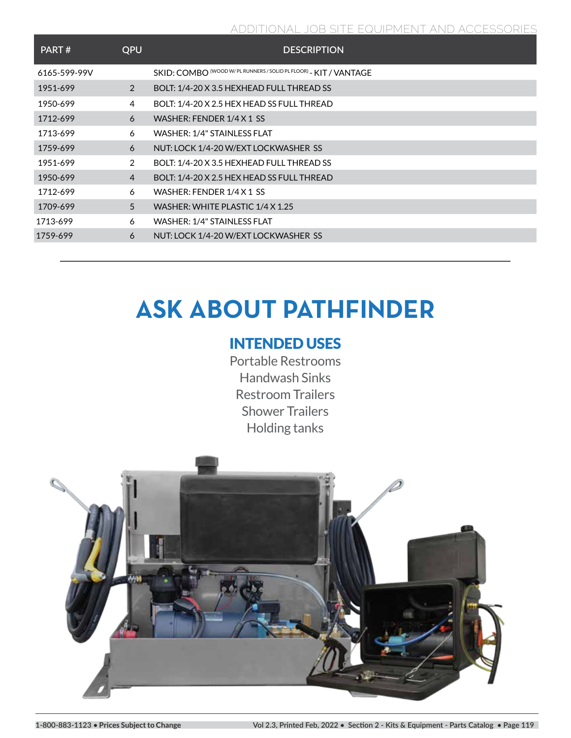| PART#        | <b>QPU</b>     | <b>DESCRIPTION</b>                                                |
|--------------|----------------|-------------------------------------------------------------------|
| 6165-599-99V |                | SKID: COMBO (WOOD W/ PL RUNNERS / SOLID PL FLOOR) - KIT / VANTAGE |
| 1951-699     | 2              | BOLT: 1/4-20 X 3.5 HEXHEAD FULL THREAD SS                         |
| 1950-699     | 4              | BOLT: 1/4-20 X 2.5 HEX HEAD SS FULL THREAD                        |
| 1712-699     | 6              | WASHER: FENDER 1/4 X 1 SS                                         |
| 1713-699     | 6              | WASHER: 1/4" STAINLESS FLAT                                       |
| 1759-699     | 6              | NUT: LOCK 1/4-20 W/EXT LOCKWASHER SS                              |
| 1951-699     | 2              | BOLT: 1/4-20 X 3.5 HEXHEAD FULL THREAD SS                         |
| 1950-699     | $\overline{4}$ | BOLT: 1/4-20 X 2.5 HEX HEAD SS FULL THREAD                        |
| 1712-699     | 6              | WASHER: FENDER 1/4 X 1 SS                                         |
| 1709-699     | 5              | WASHER: WHITE PLASTIC 1/4 X 1.25                                  |
| 1713-699     | 6              | WASHER: 1/4" STAINLESS FLAT                                       |
| 1759-699     | 6              | NUT: LOCK 1/4-20 W/EXT LOCKWASHER SS                              |

# **ASK ABOUT PATHFINDER**

## INTENDED USES

Portable Restrooms Handwash Sinks Restroom Trailers Shower Trailers Holding tanks

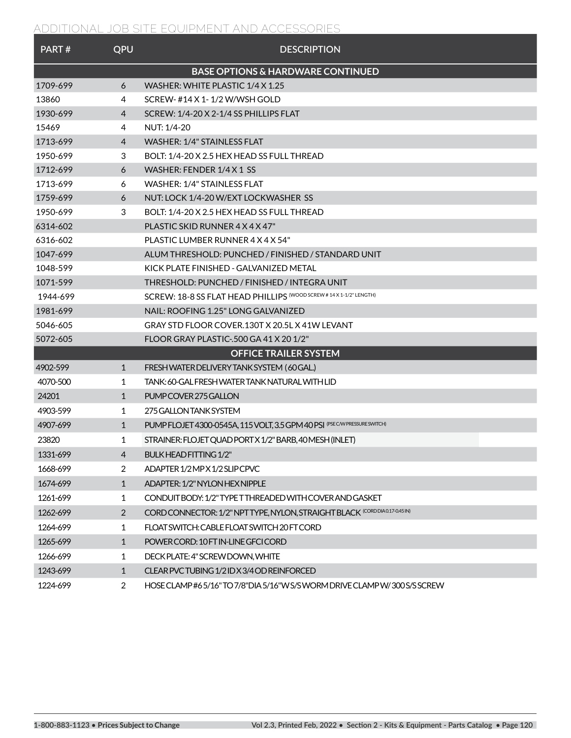| PART#    | QPU            | <b>DESCRIPTION</b>                                                          |
|----------|----------------|-----------------------------------------------------------------------------|
|          |                | <b>BASE OPTIONS &amp; HARDWARE CONTINUED</b>                                |
| 1709-699 | 6              | WASHER: WHITE PLASTIC 1/4 X 1.25                                            |
| 13860    | 4              | SCREW- #14 X 1-1/2 W/WSH GOLD                                               |
| 1930-699 | 4              | SCREW: 1/4-20 X 2-1/4 SS PHILLIPS FLAT                                      |
| 15469    | 4              | NUT: 1/4-20                                                                 |
| 1713-699 | $\overline{4}$ | <b>WASHER: 1/4" STAINLESS FLAT</b>                                          |
| 1950-699 | 3              | BOLT: 1/4-20 X 2.5 HEX HEAD SS FULL THREAD                                  |
| 1712-699 | 6              | WASHER: FENDER 1/4 X 1 SS                                                   |
| 1713-699 | 6              | WASHER: 1/4" STAINLESS FLAT                                                 |
| 1759-699 | 6              | NUT: LOCK 1/4-20 W/EXT LOCKWASHER SS                                        |
| 1950-699 | 3              | BOLT: 1/4-20 X 2.5 HEX HEAD SS FULL THREAD                                  |
| 6314-602 |                | PLASTIC SKID RUNNER 4 X 4 X 47"                                             |
| 6316-602 |                | PLASTIC LUMBER RUNNER 4 X 4 X 54"                                           |
| 1047-699 |                | ALUM THRESHOLD: PUNCHED / FINISHED / STANDARD UNIT                          |
| 1048-599 |                | KICK PLATE FINISHED - GALVANIZED METAL                                      |
| 1071-599 |                | THRESHOLD: PUNCHED / FINISHED / INTEGRA UNIT                                |
| 1944-699 |                | SCREW: 18-8 SS EI AT HEAD PHII I IPS (WOOD SCREW #14 X 1-1/2" LENGTH)       |
| 1981-699 |                | NAIL: ROOFING 1.25" LONG GALVANIZED                                         |
| 5046-605 |                | GRAY STD FLOOR COVER.130T X 20.5L X 41W LEVANT                              |
| 5072-605 |                | FLOOR GRAY PLASTIC-500 GA 41 X 20 1/2"                                      |
|          |                | <b>OFFICE TRAILER SYSTEM</b>                                                |
| 4902-599 | $\mathbf{1}$   | FRESH WATER DELIVERY TANK SYSTEM (60 GAL.)                                  |
| 4070-500 | 1              | TANK: 60-GAL FRESH WATER TANK NATURAL WITH LID                              |
| 24201    | $\mathbf{1}$   | PUMP COVER 275 GALLON                                                       |
| 4903-599 | 1              | 275 GALLON TANK SYSTEM                                                      |
| 4907-699 | $\mathbf{1}$   | PUMP FLOJET 4300-0545A, 115 VOLT, 3.5 GPM 40 PSI (PSE C/W PRESSURE SWITCH)  |
| 23820    | 1              | STRAINER: FLOJET QUAD PORT X 1/2" BARB, 40 MESH (INLET)                     |
| 1331-699 | 4              | <b>BULK HEAD FITTING 1/2"</b>                                               |
| 1668-699 | 2              | ADAPTER 1/2 MP X 1/2 SLIP CPVC                                              |
| 1674-699 | $\mathbf{1}$   | ADAPTER: 1/2" NYLON HEX NIPPLE                                              |
| 1261-699 | 1              | CONDUIT BODY: 1/2" TYPE TTHREADED WITH COVER AND GASKET                     |
| 1262-699 | $\overline{2}$ | CORD CONNECTOR: 1/2" NPT TYPE, NYLON, STRAIGHT BLACK (CORD DIA0.17-0.45 IN) |
| 1264-699 | 1              | FLOAT SWITCH: CABLE FLOAT SWITCH 20 FT CORD                                 |
| 1265-699 | 1              | POWER CORD: 10 FT IN-LINE GFCI CORD                                         |
| 1266-699 | 1              | DECK PLATE: 4" SCREW DOWN, WHITE                                            |
| 1243-699 | $\mathbf{1}$   | CLEAR PVC TUBING 1/2 ID X 3/4 OD REINFORCED                                 |
| 1224-699 | $\overline{2}$ | HOSE CLAMP #65/16" TO 7/8"DIA 5/16"W S/SWORM DRIVE CLAMP W/300 S/SSCREW     |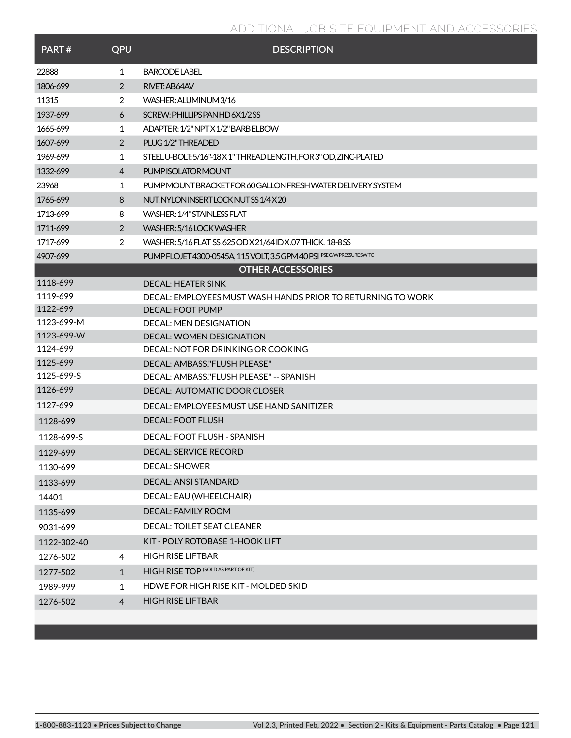| PART#       | QPU            | <b>DESCRIPTION</b>                                                      |
|-------------|----------------|-------------------------------------------------------------------------|
| 22888       | 1              | BARCODE LABEL                                                           |
| 1806-699    | 2              | RIVET: AB64AV                                                           |
| 11315       | 2              | WASHER: ALUMINUM 3/16                                                   |
| 1937-699    | 6              | SCREW: PHILLIPS PAN HD 6X1/2SS                                          |
| 1665-699    | 1              | ADAPTER: 1/2" NPT X 1/2" BARB ELBOW                                     |
| 1607-699    | 2              | PLUG 1/2" THREADED                                                      |
| 1969-699    | 1              | STEELU-BOLT: 5/16"-18X1" THREAD LENGTH, FOR 3" OD, ZINC-PLATED          |
| 1332-699    | 4              | PUMP ISOLATOR MOUNT                                                     |
| 23968       | 1              | PUMP MOUNT BRACKET FOR 60 GALLON FRESH WATER DELIVERY SYSTEM            |
| 1765-699    | 8              | NUT: NYLON INSERT LOCK NUTSS 1/4X20                                     |
| 1713-699    | 8              | WASHER: 1/4" STAINLESS FLAT                                             |
| 1711-699    | 2              | WASHER: 5/16 LOCK WASHER                                                |
| 1717-699    | 2              | WASHER: 5/16 FLAT SS.625 OD X 21/64 ID X.07 THICK, 18-8 SS              |
| 4907-699    |                | PUMP FLOJET 4300-0545A, 115 VOLT, 3.5 GPM 40 PSI PSE CAV PRESSURE SWITC |
|             |                | <b>OTHER ACCESSORIES</b>                                                |
| 1118-699    |                | DECAL: HEATER SINK                                                      |
| 1119-699    |                | DECAL: EMPLOYEES MUST WASH HANDS PRIOR TO RETURNING TO WORK             |
| 1122-699    |                | <b>DECAL: FOOT PUMP</b>                                                 |
| 1123-699-M  |                | <b>DECAL: MEN DESIGNATION</b>                                           |
| 1123-699-W  |                | <b>DECAL: WOMEN DESIGNATION</b>                                         |
| 1124-699    |                | DECAL: NOT FOR DRINKING OR COOKING                                      |
| 1125-699    |                | DECAL: AMBASS."FLUSH PLEASE"                                            |
| 1125-699-S  |                | DECAL: AMBASS."FLUSH PLEASE" -- SPANISH                                 |
| 1126-699    |                | DECAL: AUTOMATIC DOOR CLOSER                                            |
| 1127-699    |                | DECAL: EMPLOYEES MUST USE HAND SANITIZER                                |
| 1128-699    |                | <b>DECAL: FOOT FLUSH</b>                                                |
| 1128-699-S  |                | DECAL: FOOT FLUSH - SPANISH                                             |
| 1129-699    |                | DECAL: SERVICE RECORD                                                   |
| 1130-699    |                | <b>DECAL: SHOWER</b>                                                    |
| 1133-699    |                | DECAL: ANSI STANDARD                                                    |
| 14401       |                | DECAL: EAU (WHEELCHAIR)                                                 |
| 1135-699    |                | DECAL: FAMILY ROOM                                                      |
| 9031-699    |                | DECAL: TOILET SEAT CLEANER                                              |
| 1122-302-40 |                | KIT - POLY ROTOBASE 1-HOOK LIFT                                         |
| 1276-502    | 4              | <b>HIGH RISE LIFTBAR</b>                                                |
| 1277-502    | $\mathbf{1}$   | <b>HIGH RISE TOP (SOLD AS PART OF KIT)</b>                              |
| 1989-999    | 1              | HDWE FOR HIGH RISE KIT - MOLDED SKID                                    |
| 1276-502    | $\overline{4}$ | <b>HIGH RISE LIFTBAR</b>                                                |
|             |                |                                                                         |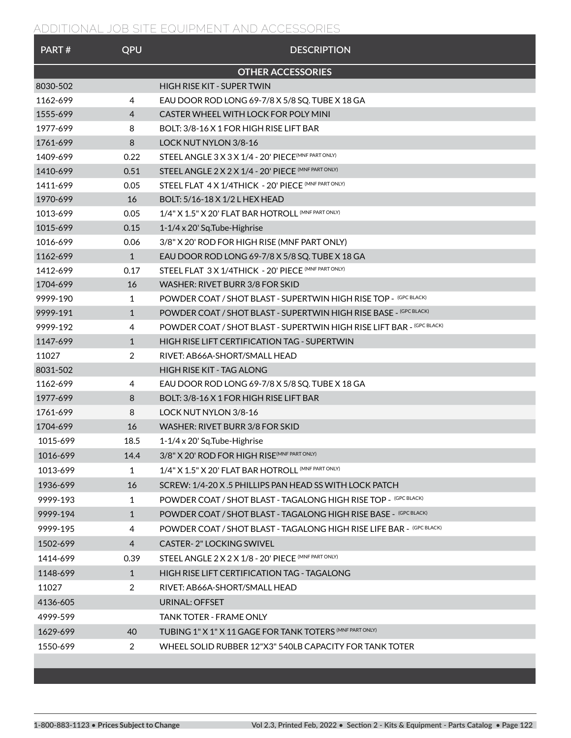| PART#    | QPU            | <b>DESCRIPTION</b>                                                    |
|----------|----------------|-----------------------------------------------------------------------|
|          |                | <b>OTHER ACCESSORIES</b>                                              |
| 8030-502 |                | HIGH RISE KIT - SUPER TWIN                                            |
| 1162-699 | 4              | EAU DOOR ROD LONG 69-7/8 X 5/8 SQ. TUBE X 18 GA                       |
| 1555-699 | 4              | CASTER WHEEL WITH LOCK FOR POLY MINI                                  |
| 1977-699 | 8              | BOLT: 3/8-16 X 1 FOR HIGH RISE LIFT BAR                               |
| 1761-699 | 8              | <b>LOCK NUT NYLON 3/8-16</b>                                          |
| 1409-699 | 0.22           | STEEL ANGLE 3 X 3 X 1/4 - 20' PIECE <sup>(MNF PART ONLY)</sup>        |
| 1410-699 | 0.51           | STEEL ANGLE 2 X 2 X 1/4 - 20' PIECE (MNF PART ONLY)                   |
| 1411-699 | 0.05           | STEEL FLAT 4 X 1/4THICK - 20' PIECE (MNF PART ONLY)                   |
| 1970-699 | 16             | BOLT: 5/16-18 X 1/2 L HEX HEAD                                        |
| 1013-699 | 0.05           | 1/4" X 1.5" X 20' FLAT BAR HOTROLL (MNF PART ONLY)                    |
| 1015-699 | 0.15           | 1-1/4 x 20' Sq.Tube-Highrise                                          |
| 1016-699 | 0.06           | 3/8" X 20' ROD FOR HIGH RISE (MNF PART ONLY)                          |
| 1162-699 | $\mathbf{1}$   | EAU DOOR ROD LONG 69-7/8 X 5/8 SQ. TUBE X 18 GA                       |
| 1412-699 | 0.17           | STEEL FLAT 3 X 1/4THICK - 20' PIECE (MNF PART ONLY)                   |
| 1704-699 | 16             | WASHER: RIVET BURR 3/8 FOR SKID                                       |
| 9999-190 | 1              | POWDER COAT / SHOT BLAST - SUPERTWIN HIGH RISE TOP - (GPC BLACK)      |
| 9999-191 | $\mathbf{1}$   | POWDER COAT / SHOT BLAST - SUPERTWIN HIGH RISE BASE - (GPC BLACK)     |
| 9999-192 | 4              | POWDER COAT / SHOT BLAST - SUPERTWIN HIGH RISE LIFT BAR - (GPC BLACK) |
| 1147-699 | $\mathbf{1}$   | HIGH RISE LIFT CERTIFICATION TAG - SUPERTWIN                          |
| 11027    | 2              | RIVET: AB66A-SHORT/SMALL HEAD                                         |
| 8031-502 |                | <b>HIGH RISE KIT - TAG ALONG</b>                                      |
| 1162-699 | 4              | EAU DOOR ROD LONG 69-7/8 X 5/8 SQ. TUBE X 18 GA                       |
| 1977-699 | 8              | BOLT: 3/8-16 X 1 FOR HIGH RISE LIFT BAR                               |
| 1761-699 | 8              | <b>LOCK NUT NYLON 3/8-16</b>                                          |
| 1704-699 | 16             | WASHER: RIVET BURR 3/8 FOR SKID                                       |
| 1015-699 | 18.5           | $1-1/4 \times 20'$ Sq. Tube-Highrise                                  |
| 1016-699 | 14.4           | 3/8" X 20' ROD FOR HIGH RISE (MNF PART ONLY)                          |
| 1013-699 | 1              | 1/4" X 1.5" X 20' FLAT BAR HOTROLL (MNF PART ONLY)                    |
| 1936-699 | 16             | SCREW: 1/4-20 X.5 PHILLIPS PAN HEAD SS WITH LOCK PATCH                |
| 9999-193 | 1              | POWDER COAT / SHOT BLAST - TAGALONG HIGH RISE TOP - (GPC BLACK)       |
| 9999-194 | $\mathbf{1}$   | POWDER COAT / SHOT BLAST - TAGALONG HIGH RISE BASE - (GPC BLACK)      |
| 9999-195 | 4              | POWDER COAT / SHOT BLAST - TAGALONG HIGH RISE LIFE BAR - (GPC BLACK)  |
| 1502-699 | $\overline{4}$ | <b>CASTER-2" LOCKING SWIVEL</b>                                       |
| 1414-699 | 0.39           | STEEL ANGLE 2 X 2 X 1/8 - 20' PIECE (MNF PART ONLY)                   |
| 1148-699 | $\mathbf{1}$   | HIGH RISE LIFT CERTIFICATION TAG - TAGALONG                           |
| 11027    | $\overline{2}$ | RIVET: AB66A-SHORT/SMALL HEAD                                         |
| 4136-605 |                | URINAL: OFFSET                                                        |
| 4999-599 |                | <b>TANK TOTER - FRAME ONLY</b>                                        |
| 1629-699 | 40             | TUBING 1" X 1" X 11 GAGE FOR TANK TOTERS (MNF PART ONLY)              |
| 1550-699 | 2              | WHEEL SOLID RUBBER 12"X3" 540LB CAPACITY FOR TANK TOTER               |
|          |                |                                                                       |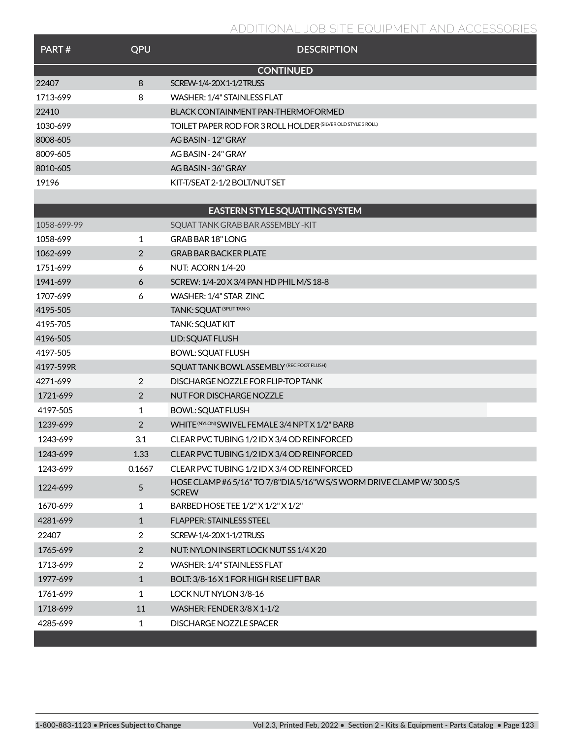| PART#       | QPU            | <b>DESCRIPTION</b>                                                                   |
|-------------|----------------|--------------------------------------------------------------------------------------|
|             |                | <b>CONTINUED</b>                                                                     |
| 22407       | 8              | SCREW-1/4-20X1-1/2TRUSS                                                              |
| 1713-699    | 8              | WASHER: 1/4" STAINI FSS FLAT                                                         |
| 22410       |                | BLACK CONTAINMENT PAN-THERMOFORMED                                                   |
| 1030-699    |                | TOILET PAPER ROD FOR 3 ROLL HOLDER (SILVER OLD STYLE 3 ROLL)                         |
| 8008-605    |                | AG BASIN - 12" GRAY                                                                  |
| 8009-605    |                | AG BASIN - 24" GRAY                                                                  |
| 8010-605    |                | AG BASIN - 36" GRAY                                                                  |
| 19196       |                | KIT-T/SEAT 2-1/2 BOLT/NUT SET                                                        |
|             |                |                                                                                      |
|             |                | EASTERN STYLE SQUATTING SYSTEM                                                       |
| 1058-699-99 |                | SOUAT TANK GRAB BAR ASSEMBLY - KIT                                                   |
| 1058-699    | 1              | <b>GRAB BAR 18" LONG</b>                                                             |
| 1062-699    | 2              | <b>GRAB BAR BACKER PLATE</b>                                                         |
| 1751-699    | 6              | NUT: ACORN 1/4-20                                                                    |
| 1941-699    | 6              | SCREW: 1/4-20 X 3/4 PAN HD PHIL M/S 18-8                                             |
| 1707-699    | 6              | WASHER: 1/4" STAR ZINC                                                               |
| 4195-505    |                | TANK: SQUAT <sup>(SPLITTANK)</sup>                                                   |
| 4195-705    |                | <b>TANK: SQUAT KIT</b>                                                               |
| 4196-505    |                | LID: SQUAT FLUSH                                                                     |
| 4197-505    |                | <b>BOWL: SQUAT FLUSH</b>                                                             |
| 4197-599R   |                | SQUAT TANK BOWL ASSEMBLY (RECFOOTFLUSH)                                              |
| 4271-699    | 2              | DISCHARGE NOZZLE FOR FLIP-TOP TANK                                                   |
| 1721-699    | 2              | NUT FOR DISCHARGE NOZZLE                                                             |
| 4197-505    | 1              | <b>BOWL: SQUAT FLUSH</b>                                                             |
| 1239-699    | 2              | WHITE (NYLON) SWIVEL FEMALE 3/4 NPT X 1/2" BARB                                      |
| 1243-699    | 3.1            | CLEAR PVC TUBING 1/2 ID X 3/4 OD REINFORCED                                          |
| 1243-699    | 1.33           | CLEAR PVC TUBING 1/2 ID X 3/4 OD REINFORCED                                          |
| 1243-699    | 0.1667         | CLEAR PVC TUBING 1/2 ID X 3/4 OD REINFORCED                                          |
| 1224-699    | 5              | HOSE CLAMP #6 5/16" TO 7/8"DIA 5/16"W S/S WORM DRIVE CLAMP W/300 S/S<br><b>SCREW</b> |
| 1670-699    | 1              | BARBED HOSE TEE 1/2" X 1/2" X 1/2"                                                   |
| 4281-699    | $\mathbf{1}$   | FLAPPER: STAINLESS STEEL                                                             |
| 22407       | $\overline{2}$ | SCREW-1/4-20X1-1/2TRUSS                                                              |
| 1765-699    | 2              | NUT: NYLON INSERT LOCK NUT SS 1/4 X 20                                               |
| 1713-699    | $\overline{2}$ | WASHER: 1/4" STAINLESS FLAT                                                          |
| 1977-699    | $\mathbf{1}$   | BOLT: 3/8-16 X 1 FOR HIGH RISE LIFT BAR                                              |
| 1761-699    | 1              | LOCK NUT NYLON 3/8-16                                                                |
| 1718-699    | 11             | WASHER: FENDER 3/8 X 1-1/2                                                           |
| 4285-699    | 1              | DISCHARGE NOZZLE SPACER                                                              |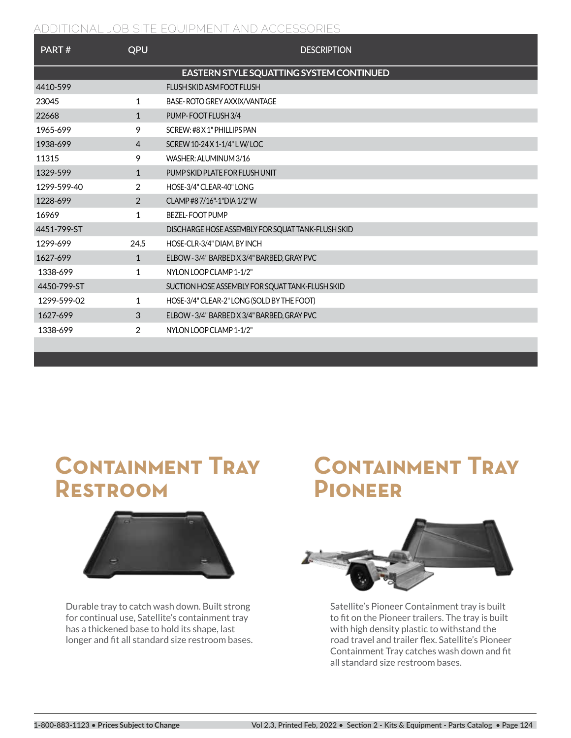| PART#       | QPU            | <b>DESCRIPTION</b>                                |
|-------------|----------------|---------------------------------------------------|
|             |                | EASTERN STYLE SQUATTING SYSTEM CONTINUED          |
| 4410-599    |                | FLUSH SKID ASM FOOT FLUSH                         |
| 23045       | 1              | BASE-ROTO GREY AXXIX/VANTAGE                      |
| 22668       | $\mathbf{1}$   | PUMP-FOOT FLUSH 3/4                               |
| 1965-699    | 9              | SCRFW: #8 X 1" PHII I IPS PAN                     |
| 1938-699    | $\overline{4}$ | SCREW 10-24 X 1-1/4" L W/ LOC                     |
| 11315       | 9              | WASHER: ALUMINUM 3/16                             |
| 1329-599    | $\mathbf{1}$   | PUMP SKID PLATE FOR FLUSH UNIT                    |
| 1299-599-40 | 2              | HOSE-3/4" CLEAR-40" LONG                          |
| 1228-699    | 2              | CLAMP#87/16"-1"DIA 1/2"W                          |
| 16969       | $\mathbf{1}$   | <b>BEZEL-FOOT PUMP</b>                            |
| 4451-799-ST |                | DISCHARGE HOSE ASSEMBLY FOR SQUAT TANK-FLUSH SKID |
| 1299-699    | 24.5           | HOSE-CLR-3/4" DIAM. BY INCH                       |
| 1627-699    | $\mathbf{1}$   | ELBOW - 3/4" BARBED X 3/4" BARBED, GRAY PVC       |
| 1338-699    | 1              | NYLON LOOP CLAMP 1-1/2"                           |
| 4450-799-ST |                | SUCTION HOSE ASSEMBLY FOR SQUAT TANK-FLUSH SKID   |
| 1299-599-02 | 1              | HOSE-3/4" CLEAR-2" LONG (SOLD BY THE FOOT)        |
| 1627-699    | 3              | ELBOW - 3/4" BARBED X 3/4" BARBED, GRAY PVC       |
| 1338-699    | $\overline{2}$ | NYLON LOOP CLAMP 1-1/2"                           |
|             |                |                                                   |

## **Containment Tray Restroom**



Durable tray to catch wash down. Built strong for continual use, Satellite's containment tray has a thickened base to hold its shape, last longer and fit all standard size restroom bases.

# **Containment Tray Pioneer**



Satellite's Pioneer Containment tray is built to fit on the Pioneer trailers. The tray is built with high density plastic to withstand the road travel and trailer flex. Satellite's Pioneer Containment Tray catches wash down and fit all standard size restroom bases.